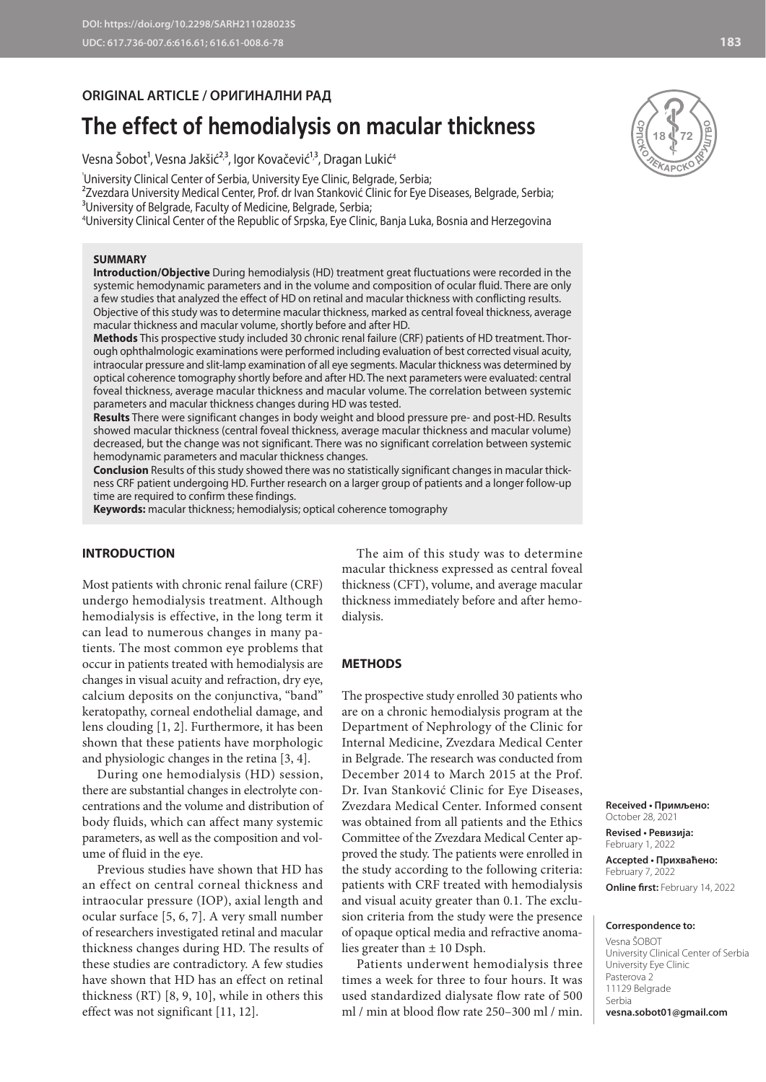## **ORIGINAL ARTICLE / ОРИГИНАЛНИ РАД**

# **The effect of hemodialysis on macular thickness**

Vesna Sobot', Vesna Jakšić<sup>2,3</sup>, Igor Kovačević'<sup>,3</sup>, Dragan Lukić<sup>4</sup>

University Clinical Center of Serbia, University Eye Clinic, Belgrade, Serbia;

<sup>2</sup>Zvezdara University Medical Center, Prof. dr Ivan Stanković Clinic for Eye Diseases, Belgrade, Serbia; <sup>3</sup>University of Belgrade, Faculty of Medicine, Belgrade, Serbia;

4 University Clinical Center of the Republic of Srpska, Eye Clinic, Banja Luka, Bosnia and Herzegovina

### **SUMMARY**

**Introduction/Objective** During hemodialysis (HD) treatment great fluctuations were recorded in the systemic hemodynamic parameters and in the volume and composition of ocular fluid. There are only a few studies that analyzed the effect of HD on retinal and macular thickness with conflicting results.

Objective of this study was to determine macular thickness, marked as central foveal thickness, average macular thickness and macular volume, shortly before and after HD.

**Methods** This prospective study included 30 chronic renal failure (CRF) patients of HD treatment. Thorough ophthalmologic examinations were performed including evaluation of best corrected visual acuity, intraocular pressure and slit-lamp examination of all eye segments. Macular thickness was determined by optical coherence tomography shortly before and after HD. The next parameters were evaluated: central foveal thickness, average macular thickness and macular volume. The correlation between systemic parameters and macular thickness changes during HD was tested.

**Results** There were significant changes in body weight and blood pressure pre- and post-HD. Results showed macular thickness (central foveal thickness, average macular thickness and macular volume) decreased, but the change was not significant. There was no significant correlation between systemic hemodynamic parameters and macular thickness changes.

**Conclusion** Results of this study showed there was no statistically significant changes in macular thickness CRF patient undergoing HD. Further research on a larger group of patients and a longer follow-up time are required to confirm these findings.

**Keywords:** macular thickness; hemodialysis; optical coherence tomography

## **INTRODUCTION**

Most patients with chronic renal failure (CRF) undergo hemodialysis treatment. Although hemodialysis is effective, in the long term it can lead to numerous changes in many patients. The most common eye problems that occur in patients treated with hemodialysis are changes in visual acuity and refraction, dry eye, calcium deposits on the conjunctiva, "band" keratopathy, corneal endothelial damage, and lens clouding [1, 2]. Furthermore, it has been shown that these patients have morphologic and physiologic changes in the retina [3, 4].

During one hemodialysis (HD) session, there are substantial changes in electrolyte concentrations and the volume and distribution of body fluids, which can affect many systemic parameters, as well as the composition and volume of fluid in the eye.

Previous studies have shown that HD has an effect on central corneal thickness and intraocular pressure (IOP), axial length and ocular surface [5, 6, 7]. A very small number of researchers investigated retinal and macular thickness changes during HD. The results of these studies are contradictory. A few studies have shown that HD has an effect on retinal thickness (RT) [8, 9, 10], while in others this effect was not significant [11, 12].

The aim of this study was to determine macular thickness expressed as central foveal thickness (CFT), volume, and average macular thickness immediately before and after hemodialysis.

#### **METHODS**

The prospective study enrolled 30 patients who are on a chronic hemodialysis program at the Department of Nephrology of the Clinic for Internal Medicine, Zvezdara Medical Center in Belgrade. The research was conducted from December 2014 to March 2015 at the Prof. Dr. Ivan Stanković Clinic for Eye Diseases, Zvezdara Medical Center. Informed consent was obtained from all patients and the Ethics Committee of the Zvezdara Medical Center approved the study. The patients were enrolled in the study according to the following criteria: patients with CRF treated with hemodialysis and visual acuity greater than 0.1. The exclusion criteria from the study were the presence of opaque optical media and refractive anomalies greater than ± 10 Dsph.

Patients underwent hemodialysis three times a week for three to four hours. It was used standardized dialysate flow rate of 500 ml / min at blood flow rate 250–300 ml / min.

**Received • Примљено:** 

October 28, 2021

**Revised • Ревизија:**  February 1, 2022 **Accepted • Прихваћено:** February 7, 2022 **Online first:** February 14, 2022

#### **Correspondence to:**

Vesna ŠOBOT University Clinical Center of Serbia University Eye Clinic Pasterova 2 11129 Belgrade Serbia **vesna.sobot01@gmail.com**

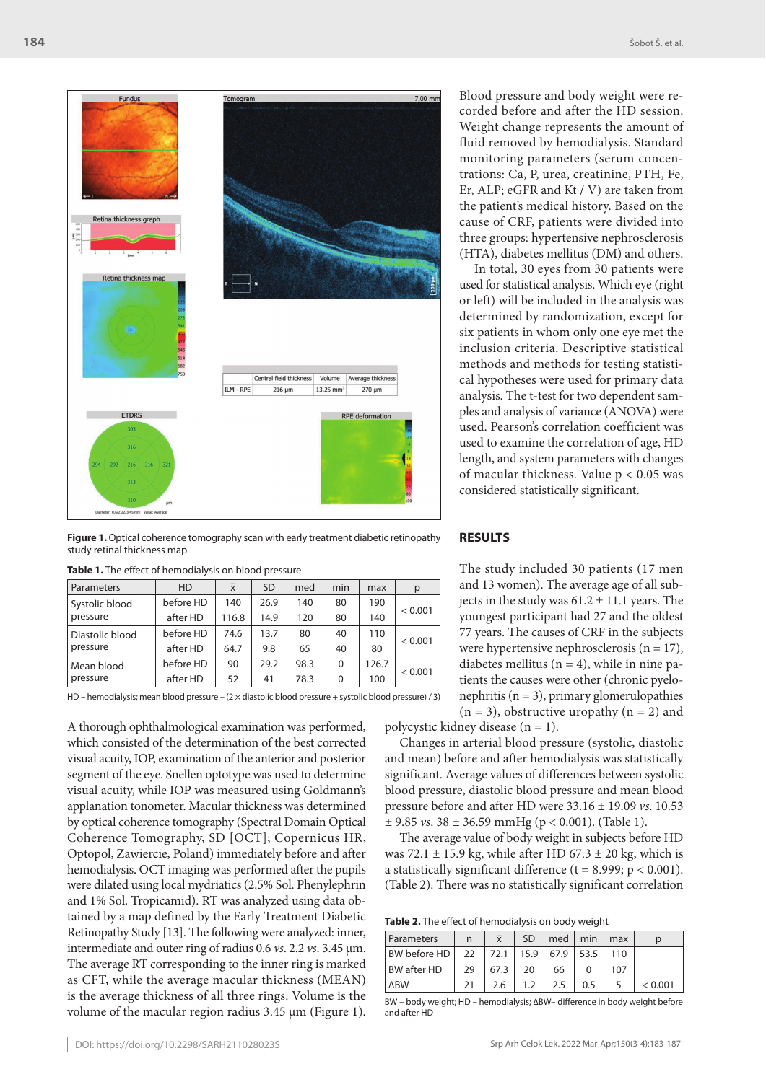

Figure 1. Optical coherence tomography scan with early treatment diabetic retinopathy study retinal thickness map

| Parameters                  | <b>HD</b> | $\overline{x}$ | <b>SD</b> | med  | min | max   | р       |  |
|-----------------------------|-----------|----------------|-----------|------|-----|-------|---------|--|
| Systolic blood<br>pressure  | before HD | 140            | 26.9      | 140  | 80  | 190   |         |  |
|                             | after HD  | 116.8          | 14.9      | 120  | 80  | 140   | < 0.001 |  |
| Diastolic blood<br>pressure | before HD | 74.6           | 13.7      | 80   | 40  | 110   |         |  |
|                             | after HD  | 64.7           | 9.8       | 65   | 40  | 80    | < 0.001 |  |
| Mean blood<br>pressure      | before HD | 90             | 29.2      | 98.3 | 0   | 126.7 |         |  |
|                             | after HD  | 52             | 41        | 78.3 | 0   | 100   | < 0.001 |  |

**Table 1.** The effect of hemodialysis on blood pressure

HD – hemodialysis; mean blood pressure – (2 × diastolic blood pressure + systolic blood pressure) / 3)

A thorough ophthalmological examination was performed, which consisted of the determination of the best corrected visual acuity, IOP, examination of the anterior and posterior segment of the eye. Snellen optotype was used to determine visual acuity, while IOP was measured using Goldmann's applanation tonometer. Macular thickness was determined by optical coherence tomography (Spectral Domain Optical Coherence Tomography, SD [OCT]; Copernicus HR, Optopol, Zawiercie, Poland) immediately before and after hemodialysis. OCT imaging was performed after the pupils were dilated using local mydriatics (2.5% Sol. Phenylephrin and 1% Sol. Tropicamid). RT was analyzed using data obtained by a map defined by the Early Treatment Diabetic Retinopathy Study [13]. The following were analyzed: inner, intermediate and outer ring of radius 0.6 *vs*. 2.2 *vs*. 3.45 μm. The average RT corresponding to the inner ring is marked as CFT, while the average macular thickness (MEAN) is the average thickness of all three rings. Volume is the volume of the macular region radius 3.45 μm (Figure 1). Blood pressure and body weight were recorded before and after the HD session. Weight change represents the amount of fluid removed by hemodialysis. Standard monitoring parameters (serum concentrations: Ca, P, urea, creatinine, PTH, Fe, Er, ALP; eGFR and Kt / V) are taken from the patient's medical history. Based on the cause of CRF, patients were divided into three groups: hypertensive nephrosclerosis (HTA), diabetes mellitus (DM) and others.

In total, 30 eyes from 30 patients were used for statistical analysis. Which eye (right or left) will be included in the analysis was determined by randomization, except for six patients in whom only one eye met the inclusion criteria. Descriptive statistical methods and methods for testing statistical hypotheses were used for primary data analysis. The t-test for two dependent samples and analysis of variance (ANOVA) were used. Pearson's correlation coefficient was used to examine the correlation of age, HD length, and system parameters with changes of macular thickness. Value p < 0.05 was considered statistically significant.

### **RESULTS**

The study included 30 patients (17 men and 13 women). The average age of all subjects in the study was  $61.2 \pm 11.1$  years. The youngest participant had 27 and the oldest 77 years. The causes of CRF in the subjects were hypertensive nephrosclerosis ( $n = 17$ ), diabetes mellitus ( $n = 4$ ), while in nine patients the causes were other (chronic pyelonephritis ( $n = 3$ ), primary glomerulopathies  $(n = 3)$ , obstructive uropathy  $(n = 2)$  and

polycystic kidney disease (n = 1).

Changes in arterial blood pressure (systolic, diastolic and mean) before and after hemodialysis was statistically significant. Average values of differences between systolic blood pressure, diastolic blood pressure and mean blood pressure before and after HD were 33.16 ± 19.09 *vs*. 10.53 ± 9.85 *vs*. 38 ± 36.59 mmHg (p < 0.001). (Table 1).

The average value of body weight in subjects before HD was 72.1  $\pm$  15.9 kg, while after HD 67.3  $\pm$  20 kg, which is a statistically significant difference ( $t = 8.999$ ;  $p < 0.001$ ). (Table 2). There was no statistically significant correlation

**Table 2.** The effect of hemodialysis on body weight

| Parameters         | n  | $\overline{x}$ | <b>SD</b> | med  | min  | max |         |
|--------------------|----|----------------|-----------|------|------|-----|---------|
| BW before HD       | 22 | 72.1           | 15.9      | 67.9 | 53.5 | 110 |         |
| <b>BW</b> after HD | 29 | 67.3           | 20        | 66   |      | 107 |         |
| <b>ARW</b>         | 21 | 2.6            | 1.2       | 2.5  | 0.5  |     | < 0.001 |
|                    |    |                |           |      |      |     |         |

BW – body weight; HD – hemodialysis; ∆BW– difference in body weight before and after HD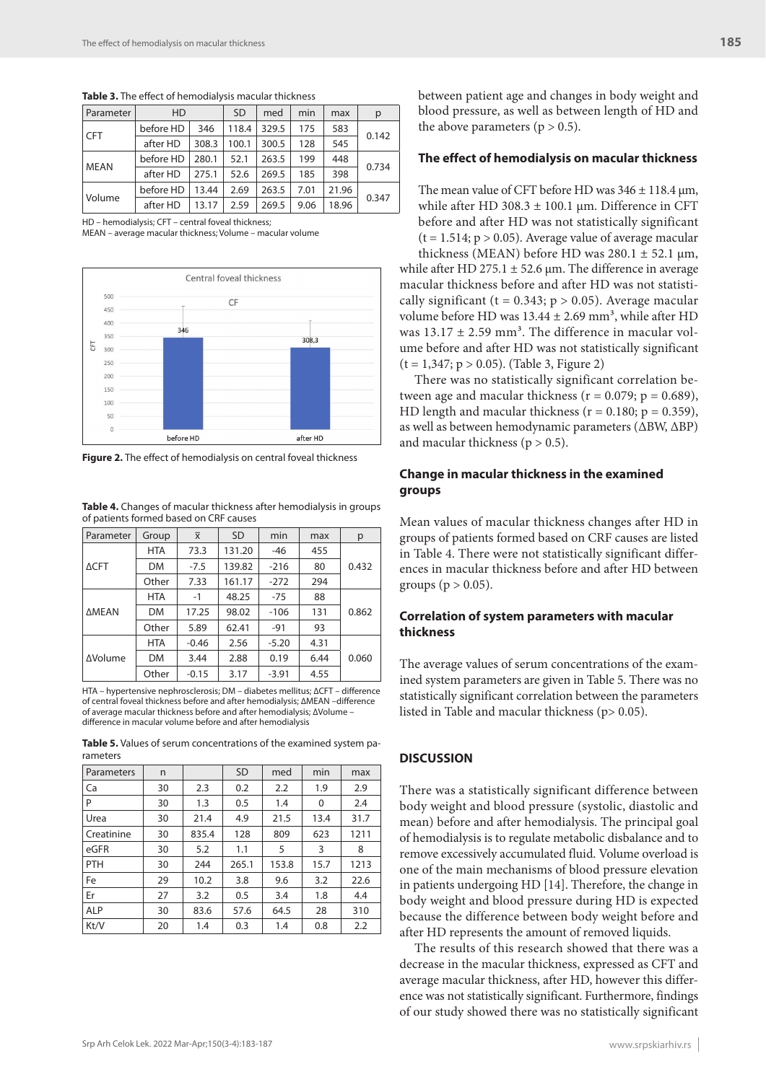| Parameter   | <b>HD</b> |       | <b>SD</b> | med   | min  | max   | p     |
|-------------|-----------|-------|-----------|-------|------|-------|-------|
| <b>CFT</b>  | before HD | 346   | 118.4     | 329.5 | 175  | 583   | 0.142 |
|             | after HD  | 308.3 | 100.1     | 300.5 | 128  | 545   |       |
| <b>MEAN</b> | before HD | 280.1 | 52.1      | 263.5 | 199  | 448   | 0.734 |
|             | after HD  | 275.1 | 52.6      | 269.5 | 185  | 398   |       |
| Volume      | before HD | 13.44 | 2.69      | 263.5 | 7.01 | 21.96 | 0.347 |
|             | after HD  | 13.17 | 2.59      | 269.5 | 9.06 | 18.96 |       |

**Table 3.** The effect of hemodialysis macular thickness

HD – hemodialysis; CFT – central foveal thickness;

MEAN – average macular thickness; Volume – macular volume



**Figure 2.** The effect of hemodialysis on central foveal thickness

**Table 4.** Changes of macular thickness after hemodialysis in groups of patients formed based on CRF causes

| Parameter       | Group      | $\overline{x}$ | <b>SD</b> | min     | max  | р     |  |
|-----------------|------------|----------------|-----------|---------|------|-------|--|
| $\triangle CFT$ | <b>HTA</b> | 73.3           | 131.20    | $-46$   | 455  |       |  |
|                 | DM         | $-7.5$         | 139.82    | $-216$  | 80   | 0.432 |  |
|                 | Other      | 7.33           | 161.17    | $-272$  | 294  |       |  |
| <b>AMEAN</b>    | <b>HTA</b> | $-1$           | 48.25     | $-75$   | 88   |       |  |
|                 | <b>DM</b>  | 17.25          | 98.02     | $-106$  | 131  | 0.862 |  |
|                 | Other      | 5.89           | 62.41     | $-91$   | 93   |       |  |
| <b>AVolume</b>  | <b>HTA</b> | $-0.46$        | 2.56      | $-5.20$ | 4.31 |       |  |
|                 | DM         | 3.44           | 2.88      | 0.19    | 6.44 | 0.060 |  |
|                 | Other      | $-0.15$        | 3.17      | $-3.91$ | 4.55 |       |  |

HTA – hypertensive nephrosclerosis; DM – diabetes mellitus; ∆CFT – difference of central foveal thickness before and after hemodialysis; ∆MEAN –difference of average macular thickness before and after hemodialysis; ∆Volume – difference in macular volume before and after hemodialysis

**Table 5.** Values of serum concentrations of the examined system parameters

| Parameters | n  |       | <b>SD</b> | med   | min  | max  |
|------------|----|-------|-----------|-------|------|------|
| Ca         | 30 | 2.3   | 0.2       | 2.2   | 1.9  | 2.9  |
| P          | 30 | 1.3   | 0.5       | 1.4   | 0    | 2.4  |
| Urea       | 30 | 21.4  | 4.9       | 21.5  | 13.4 | 31.7 |
| Creatinine | 30 | 835.4 | 128       | 809   | 623  | 1211 |
| eGFR       | 30 | 5.2   | 1.1       | 5     | 3    | 8    |
| <b>PTH</b> | 30 | 244   | 265.1     | 153.8 | 15.7 | 1213 |
| Fe         | 29 | 10.2  | 3.8       | 9.6   | 3.2  | 22.6 |
| Er         | 27 | 3.2   | 0.5       | 3.4   | 1.8  | 4.4  |
| <b>ALP</b> | 30 | 83.6  | 57.6      | 64.5  | 28   | 310  |
| Kt/V       | 20 | 1.4   | 0.3       | 1.4   | 0.8  | 2.2  |

between patient age and changes in body weight and blood pressure, as well as between length of HD and the above parameters  $(p > 0.5)$ .

## **The effect of hemodialysis on macular thickness**

The mean value of CFT before HD was  $346 \pm 118.4$  µm, while after HD  $308.3 \pm 100.1$  µm. Difference in CFT before and after HD was not statistically significant  $(t = 1.514; p > 0.05)$ . Average value of average macular thickness (MEAN) before HD was  $280.1 \pm 52.1$   $\mu$ m,

while after HD 275.1  $\pm$  52.6 µm. The difference in average macular thickness before and after HD was not statistically significant ( $t = 0.343$ ;  $p > 0.05$ ). Average macular volume before HD was  $13.44 \pm 2.69$  mm<sup>3</sup>, while after HD was  $13.17 \pm 2.59$  mm<sup>3</sup>. The difference in macular volume before and after HD was not statistically significant  $(t = 1,347; p > 0.05)$ . (Table 3, Figure 2)

There was no statistically significant correlation between age and macular thickness ( $r = 0.079$ ;  $p = 0.689$ ), HD length and macular thickness ( $r = 0.180$ ;  $p = 0.359$ ), as well as between hemodynamic parameters (∆BW, ∆BP) and macular thickness ( $p > 0.5$ ).

## **Change in macular thickness in the examined groups**

Mean values of macular thickness changes after HD in groups of patients formed based on CRF causes are listed in Table 4. There were not statistically significant differences in macular thickness before and after HD between groups ( $p > 0.05$ ).

## **Correlation of system parameters with macular thickness**

The average values of serum concentrations of the examined system parameters are given in Table 5. There was no statistically significant correlation between the parameters listed in Table and macular thickness (p> 0.05).

## **DISCUSSION**

There was a statistically significant difference between body weight and blood pressure (systolic, diastolic and mean) before and after hemodialysis. The principal goal of hemodialysis is to regulate metabolic disbalance and to remove excessively accumulated fluid. Volume overload is one of the main mechanisms of blood pressure elevation in patients undergoing HD [14]. Therefore, the change in body weight and blood pressure during HD is expected because the difference between body weight before and after HD represents the amount of removed liquids.

The results of this research showed that there was a decrease in the macular thickness, expressed as CFT and average macular thickness, after HD, however this difference was not statistically significant. Furthermore, findings of our study showed there was no statistically significant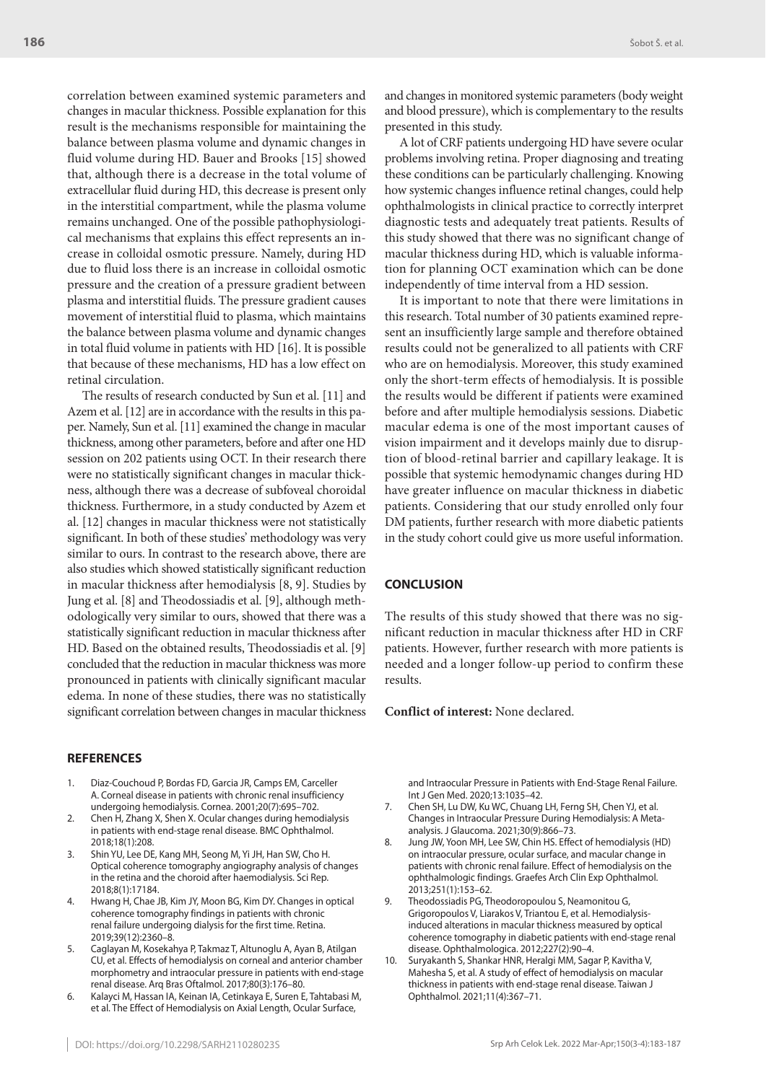correlation between examined systemic parameters and changes in macular thickness. Possible explanation for this result is the mechanisms responsible for maintaining the balance between plasma volume and dynamic changes in fluid volume during HD. Bauer and Brooks [15] showed that, although there is a decrease in the total volume of extracellular fluid during HD, this decrease is present only in the interstitial compartment, while the plasma volume remains unchanged. One of the possible pathophysiological mechanisms that explains this effect represents an increase in colloidal osmotic pressure. Namely, during HD due to fluid loss there is an increase in colloidal osmotic pressure and the creation of a pressure gradient between plasma and interstitial fluids. The pressure gradient causes movement of interstitial fluid to plasma, which maintains the balance between plasma volume and dynamic changes in total fluid volume in patients with HD [16]. It is possible that because of these mechanisms, HD has a low effect on retinal circulation.

The results of research conducted by Sun et al. [11] and Azem et al. [12] are in accordance with the results in this paper. Namely, Sun et al. [11] examined the change in macular thickness, among other parameters, before and after one HD session on 202 patients using OCT. In their research there were no statistically significant changes in macular thickness, although there was a decrease of subfoveal choroidal thickness. Furthermore, in a study conducted by Azem et al. [12] changes in macular thickness were not statistically significant. In both of these studies' methodology was very similar to ours. In contrast to the research above, there are also studies which showed statistically significant reduction in macular thickness after hemodialysis [8, 9]. Studies by Jung et al. [8] and Theodossiadis et al. [9], although methodologically very similar to ours, showed that there was a statistically significant reduction in macular thickness after HD. Based on the obtained results, Theodossiadis et al. [9] concluded that the reduction in macular thickness was more pronounced in patients with clinically significant macular edema. In none of these studies, there was no statistically significant correlation between changes in macular thickness

#### **REFERENCES**

- 1. Diaz-Couchoud P, Bordas FD, Garcia JR, Camps EM, Carceller A. Corneal disease in patients with chronic renal insufficiency undergoing hemodialysis. Cornea. 2001;20(7):695–702.
- 2. Chen H, Zhang X, Shen X. Ocular changes during hemodialysis in patients with end-stage renal disease. BMC Ophthalmol. 2018;18(1):208.
- 3. Shin YU, Lee DE, Kang MH, Seong M, Yi JH, Han SW, Cho H. Optical coherence tomography angiography analysis of changes in the retina and the choroid after haemodialysis. Sci Rep. 2018;8(1):17184.
- 4. Hwang H, Chae JB, Kim JY, Moon BG, Kim DY. Changes in optical coherence tomography findings in patients with chronic renal failure undergoing dialysis for the first time. Retina. 2019;39(12):2360–8.
- 5. Caglayan M, Kosekahya P, Takmaz T, Altunoglu A, Ayan B, Atilgan CU, et al. Effects of hemodialysis on corneal and anterior chamber morphometry and intraocular pressure in patients with end-stage renal disease. Arq Bras Oftalmol. 2017;80(3):176–80.
- 6. Kalayci M, Hassan IA, Keinan IA, Cetinkaya E, Suren E, Tahtabasi M, et al. The Effect of Hemodialysis on Axial Length, Ocular Surface,

and changes in monitored systemic parameters (body weight and blood pressure), which is complementary to the results presented in this study.

A lot of CRF patients undergoing HD have severe ocular problems involving retina. Proper diagnosing and treating these conditions can be particularly challenging. Knowing how systemic changes influence retinal changes, could help ophthalmologists in clinical practice to correctly interpret diagnostic tests and adequately treat patients. Results of this study showed that there was no significant change of macular thickness during HD, which is valuable information for planning OCT examination which can be done independently of time interval from a HD session.

It is important to note that there were limitations in this research. Total number of 30 patients examined represent an insufficiently large sample and therefore obtained results could not be generalized to all patients with CRF who are on hemodialysis. Moreover, this study examined only the short-term effects of hemodialysis. It is possible the results would be different if patients were examined before and after multiple hemodialysis sessions. Diabetic macular edema is one of the most important causes of vision impairment and it develops mainly due to disruption of blood-retinal barrier and capillary leakage. It is possible that systemic hemodynamic changes during HD have greater influence on macular thickness in diabetic patients. Considering that our study enrolled only four DM patients, further research with more diabetic patients in the study cohort could give us more useful information.

## **CONCLUSION**

The results of this study showed that there was no significant reduction in macular thickness after HD in CRF patients. However, further research with more patients is needed and a longer follow-up period to confirm these results.

**Conflict of interest:** None declared.

and Intraocular Pressure in Patients with End-Stage Renal Failure. Int J Gen Med. 2020;13:1035–42.

- 7. Chen SH, Lu DW, Ku WC, Chuang LH, Ferng SH, Chen YJ, et al. Changes in Intraocular Pressure During Hemodialysis: A Metaanalysis. J Glaucoma. 2021;30(9):866–73.
- 8. Jung JW, Yoon MH, Lee SW, Chin HS. Effect of hemodialysis (HD) on intraocular pressure, ocular surface, and macular change in patients with chronic renal failure. Effect of hemodialysis on the ophthalmologic findings. Graefes Arch Clin Exp Ophthalmol. 2013;251(1):153–62.
- 9. Theodossiadis PG, Theodoropoulou S, Neamonitou G, Grigoropoulos V, Liarakos V, Triantou E, et al. Hemodialysisinduced alterations in macular thickness measured by optical coherence tomography in diabetic patients with end-stage renal disease. Ophthalmologica. 2012;227(2):90–4.
- 10. Suryakanth S, Shankar HNR, Heralgi MM, Sagar P, Kavitha V, Mahesha S, et al. A study of effect of hemodialysis on macular thickness in patients with end-stage renal disease. Taiwan J Ophthalmol. 2021;11(4):367–71.